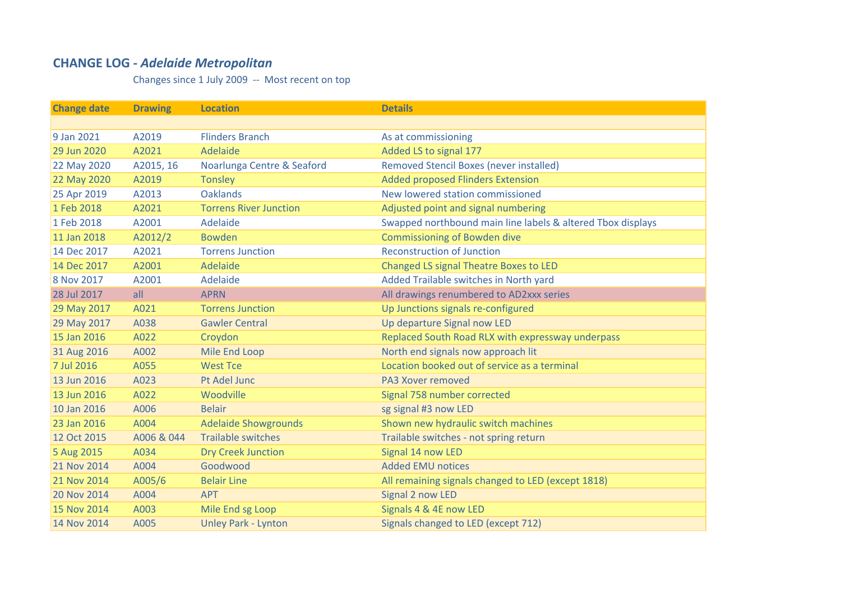## **CHANGE LOG ‐** *Adelaide Metropolitan*

Changes since 1 July 2009 ‐‐ Most recent on top

| <b>Change date</b> | <b>Drawing</b> | <b>Location</b>               | <b>Details</b>                                              |
|--------------------|----------------|-------------------------------|-------------------------------------------------------------|
|                    |                |                               |                                                             |
| 9 Jan 2021         | A2019          | <b>Flinders Branch</b>        | As at commissioning                                         |
| 29 Jun 2020        | A2021          | Adelaide                      | Added LS to signal 177                                      |
| 22 May 2020        | A2015, 16      | Noarlunga Centre & Seaford    | <b>Removed Stencil Boxes (never installed)</b>              |
| 22 May 2020        | A2019          | <b>Tonsley</b>                | <b>Added proposed Flinders Extension</b>                    |
| 25 Apr 2019        | A2013          | <b>Oaklands</b>               | New lowered station commissioned                            |
| 1 Feb 2018         | A2021          | <b>Torrens River Junction</b> | Adjusted point and signal numbering                         |
| 1 Feb 2018         | A2001          | Adelaide                      | Swapped northbound main line labels & altered Tbox displays |
| 11 Jan 2018        | A2012/2        | <b>Bowden</b>                 | <b>Commissioning of Bowden dive</b>                         |
| 14 Dec 2017        | A2021          | <b>Torrens Junction</b>       | <b>Reconstruction of Junction</b>                           |
| 14 Dec 2017        | A2001          | Adelaide                      | <b>Changed LS signal Theatre Boxes to LED</b>               |
| 8 Nov 2017         | A2001          | Adelaide                      | Added Trailable switches in North yard                      |
| 28 Jul 2017        | all            | <b>APRN</b>                   | All drawings renumbered to AD2xxx series                    |
| 29 May 2017        | A021           | <b>Torrens Junction</b>       | Up Junctions signals re-configured                          |
| 29 May 2017        | A038           | <b>Gawler Central</b>         | Up departure Signal now LED                                 |
| 15 Jan 2016        | A022           | Croydon                       | Replaced South Road RLX with expressway underpass           |
| 31 Aug 2016        | A002           | Mile End Loop                 | North end signals now approach lit                          |
| 7 Jul 2016         | A055           | <b>West Tce</b>               | Location booked out of service as a terminal                |
| 13 Jun 2016        | A023           | Pt Adel Junc                  | <b>PA3 Xover removed</b>                                    |
| 13 Jun 2016        | A022           | Woodville                     | Signal 758 number corrected                                 |
| 10 Jan 2016        | A006           | <b>Belair</b>                 | sg signal #3 now LED                                        |
| 23 Jan 2016        | A004           | <b>Adelaide Showgrounds</b>   | Shown new hydraulic switch machines                         |
| 12 Oct 2015        | A006 & 044     | <b>Trailable switches</b>     | Trailable switches - not spring return                      |
| 5 Aug 2015         | A034           | <b>Dry Creek Junction</b>     | Signal 14 now LED                                           |
| 21 Nov 2014        | A004           | Goodwood                      | <b>Added EMU notices</b>                                    |
| 21 Nov 2014        | A005/6         | <b>Belair Line</b>            | All remaining signals changed to LED (except 1818)          |
| 20 Nov 2014        | A004           | <b>APT</b>                    | Signal 2 now LED                                            |
| 15 Nov 2014        | A003           | Mile End sg Loop              | Signals 4 & 4E now LED                                      |
| 14 Nov 2014        | A005           | <b>Unley Park - Lynton</b>    | Signals changed to LED (except 712)                         |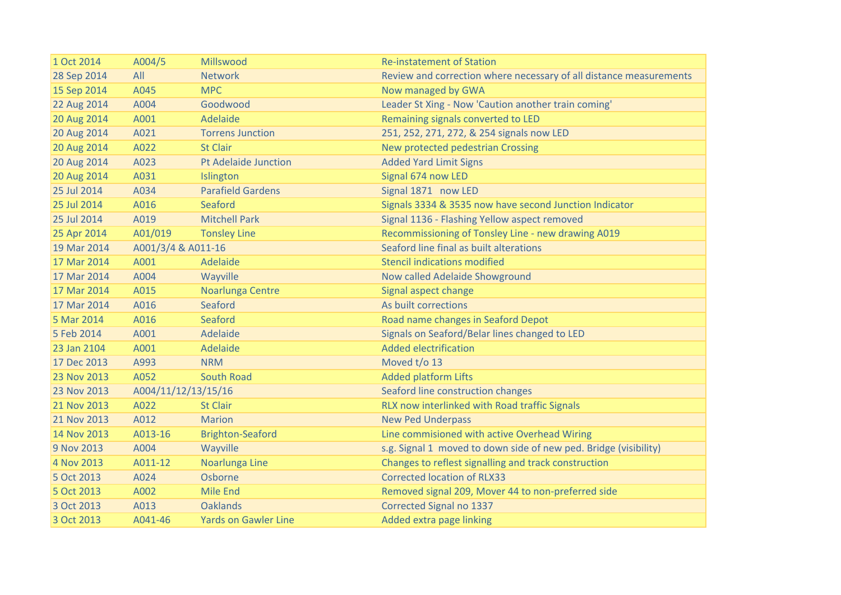| 1 Oct 2014  | A004/5              | Millswood                   | <b>Re-instatement of Station</b>                                   |
|-------------|---------------------|-----------------------------|--------------------------------------------------------------------|
| 28 Sep 2014 | All                 | <b>Network</b>              | Review and correction where necessary of all distance measurements |
| 15 Sep 2014 | A045                | <b>MPC</b>                  | Now managed by GWA                                                 |
| 22 Aug 2014 | A004                | Goodwood                    | Leader St Xing - Now 'Caution another train coming'                |
| 20 Aug 2014 | A001                | Adelaide                    | Remaining signals converted to LED                                 |
| 20 Aug 2014 | A021                | <b>Torrens Junction</b>     | 251, 252, 271, 272, & 254 signals now LED                          |
| 20 Aug 2014 | A022                | <b>St Clair</b>             | New protected pedestrian Crossing                                  |
| 20 Aug 2014 | A023                | Pt Adelaide Junction        | <b>Added Yard Limit Signs</b>                                      |
| 20 Aug 2014 | A031                | Islington                   | Signal 674 now LED                                                 |
| 25 Jul 2014 | A034                | <b>Parafield Gardens</b>    | Signal 1871 now LED                                                |
| 25 Jul 2014 | A016                | Seaford                     | Signals 3334 & 3535 now have second Junction Indicator             |
| 25 Jul 2014 | A019                | <b>Mitchell Park</b>        | Signal 1136 - Flashing Yellow aspect removed                       |
| 25 Apr 2014 | A01/019             | <b>Tonsley Line</b>         | Recommissioning of Tonsley Line - new drawing A019                 |
| 19 Mar 2014 | A001/3/4 & A011-16  |                             | Seaford line final as built alterations                            |
| 17 Mar 2014 | A001                | Adelaide                    | <b>Stencil indications modified</b>                                |
| 17 Mar 2014 | A004                | Wayville                    | Now called Adelaide Showground                                     |
| 17 Mar 2014 | A015                | Noarlunga Centre            | Signal aspect change                                               |
| 17 Mar 2014 | A016                | Seaford                     | As built corrections                                               |
| 5 Mar 2014  | A016                | Seaford                     | Road name changes in Seaford Depot                                 |
| 5 Feb 2014  | A001                | Adelaide                    | Signals on Seaford/Belar lines changed to LED                      |
| 23 Jan 2104 | A001                | Adelaide                    | <b>Added electrification</b>                                       |
| 17 Dec 2013 | A993                | <b>NRM</b>                  | Moved t/o 13                                                       |
| 23 Nov 2013 | A052                | <b>South Road</b>           | <b>Added platform Lifts</b>                                        |
| 23 Nov 2013 | A004/11/12/13/15/16 |                             | Seaford line construction changes                                  |
| 21 Nov 2013 | A022                | <b>St Clair</b>             | RLX now interlinked with Road traffic Signals                      |
| 21 Nov 2013 | A012                | <b>Marion</b>               | <b>New Ped Underpass</b>                                           |
| 14 Nov 2013 | A013-16             | <b>Brighton-Seaford</b>     | Line commisioned with active Overhead Wiring                       |
| 9 Nov 2013  | A004                | Wayville                    | s.g. Signal 1 moved to down side of new ped. Bridge (visibility)   |
| 4 Nov 2013  | A011-12             | Noarlunga Line              | Changes to reflest signalling and track construction               |
| 5 Oct 2013  | A024                | Osborne                     | <b>Corrected location of RLX33</b>                                 |
| 5 Oct 2013  | A002                | <b>Mile End</b>             | Removed signal 209, Mover 44 to non-preferred side                 |
| 3 Oct 2013  | A013                | <b>Oaklands</b>             | <b>Corrected Signal no 1337</b>                                    |
| 3 Oct 2013  | A041-46             | <b>Yards on Gawler Line</b> | Added extra page linking                                           |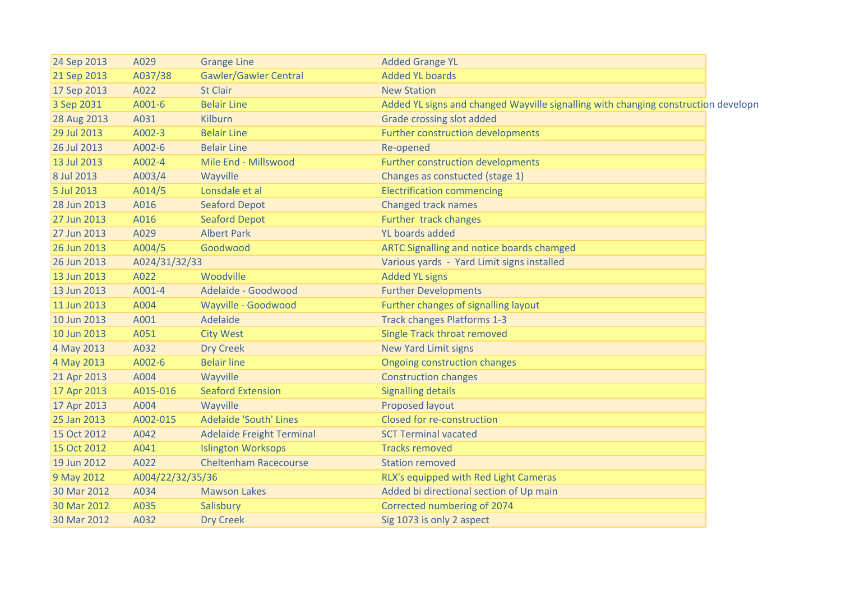| 24 Sep 2013 | A029             | <b>Grange Line</b>               | <b>Added Grange YL</b>                                                             |
|-------------|------------------|----------------------------------|------------------------------------------------------------------------------------|
| 21 Sep 2013 | A037/38          | <b>Gawler/Gawler Central</b>     | <b>Added YL boards</b>                                                             |
| 17 Sep 2013 | A022             | <b>St Clair</b>                  | <b>New Station</b>                                                                 |
| 3 Sep 2031  | A001-6           | <b>Belair Line</b>               | Added YL signs and changed Wayville signalling with changing construction developn |
| 28 Aug 2013 | A031             | Kilburn                          | Grade crossing slot added                                                          |
| 29 Jul 2013 | A002-3           | <b>Belair Line</b>               | Further construction developments                                                  |
| 26 Jul 2013 | A002-6           | <b>Belair Line</b>               | Re-opened                                                                          |
| 13 Jul 2013 | A002-4           | Mile End - Millswood             | Further construction developments                                                  |
| 8 Jul 2013  | A003/4           | Wayville                         | Changes as constucted (stage 1)                                                    |
| 5 Jul 2013  | A014/5           | Lonsdale et al                   | <b>Electrification commencing</b>                                                  |
| 28 Jun 2013 | A016             | <b>Seaford Depot</b>             | <b>Changed track names</b>                                                         |
| 27 Jun 2013 | A016             | <b>Seaford Depot</b>             | Further track changes                                                              |
| 27 Jun 2013 | A029             | <b>Albert Park</b>               | YL boards added                                                                    |
| 26 Jun 2013 | A004/5           | Goodwood                         | ARTC Signalling and notice boards chamged                                          |
| 26 Jun 2013 | A024/31/32/33    |                                  | Various yards - Yard Limit signs installed                                         |
| 13 Jun 2013 | A022             | Woodville                        | <b>Added YL signs</b>                                                              |
| 13 Jun 2013 | A001-4           | Adelaide - Goodwood              | <b>Further Developments</b>                                                        |
| 11 Jun 2013 | A004             | Wayville - Goodwood              | Further changes of signalling layout                                               |
| 10 Jun 2013 | A001             | Adelaide                         | <b>Track changes Platforms 1-3</b>                                                 |
| 10 Jun 2013 | A051             | <b>City West</b>                 | <b>Single Track throat removed</b>                                                 |
| 4 May 2013  | A032             | <b>Dry Creek</b>                 | <b>New Yard Limit signs</b>                                                        |
| 4 May 2013  | A002-6           | <b>Belair line</b>               | <b>Ongoing construction changes</b>                                                |
| 21 Apr 2013 | A004             | Wayville                         | <b>Construction changes</b>                                                        |
| 17 Apr 2013 | A015-016         | <b>Seaford Extension</b>         | <b>Signalling details</b>                                                          |
| 17 Apr 2013 | A004             | Wayville                         | Proposed layout                                                                    |
| 25 Jan 2013 | A002-015         | <b>Adelaide 'South' Lines</b>    | Closed for re-construction                                                         |
| 15 Oct 2012 | A042             | <b>Adelaide Freight Terminal</b> | <b>SCT Terminal vacated</b>                                                        |
| 15 Oct 2012 | A041             | <b>Islington Worksops</b>        | <b>Tracks removed</b>                                                              |
| 19 Jun 2012 | A022             | <b>Cheltenham Racecourse</b>     | <b>Station removed</b>                                                             |
| 9 May 2012  | A004/22/32/35/36 |                                  | RLX's equipped with Red Light Cameras                                              |
| 30 Mar 2012 | A034             | <b>Mawson Lakes</b>              | Added bi directional section of Up main                                            |
| 30 Mar 2012 | A035             | Salisbury                        | Corrected numbering of 2074                                                        |
| 30 Mar 2012 | A032             | <b>Dry Creek</b>                 | Sig 1073 is only 2 aspect                                                          |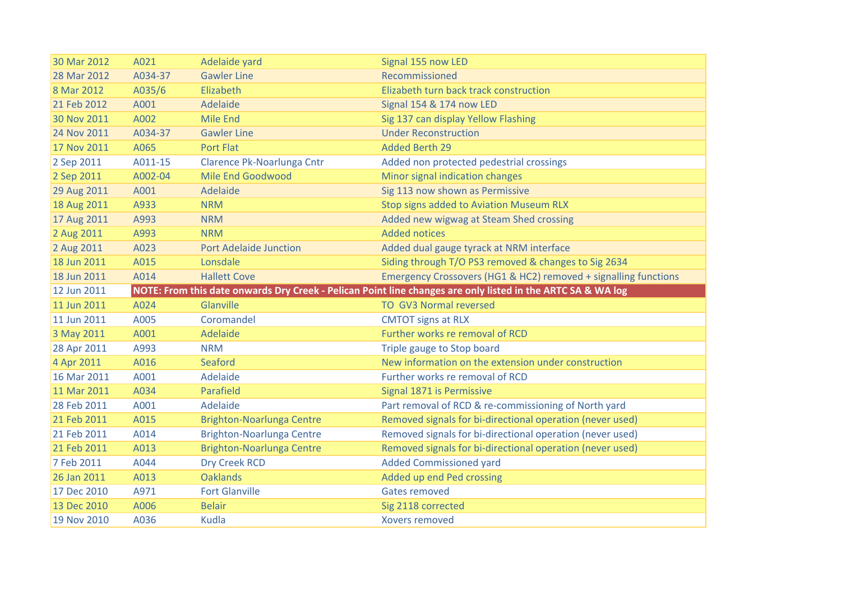| 30 Mar 2012 | A021    | Adelaide yard                    | Signal 155 now LED                                                                                          |
|-------------|---------|----------------------------------|-------------------------------------------------------------------------------------------------------------|
| 28 Mar 2012 | A034-37 | <b>Gawler Line</b>               | Recommissioned                                                                                              |
| 8 Mar 2012  | A035/6  | Elizabeth                        | Elizabeth turn back track construction                                                                      |
| 21 Feb 2012 | A001    | Adelaide                         | Signal 154 & 174 now LED                                                                                    |
| 30 Nov 2011 | A002    | <b>Mile End</b>                  | Sig 137 can display Yellow Flashing                                                                         |
| 24 Nov 2011 | A034-37 | <b>Gawler Line</b>               | <b>Under Reconstruction</b>                                                                                 |
| 17 Nov 2011 | A065    | <b>Port Flat</b>                 | <b>Added Berth 29</b>                                                                                       |
| 2 Sep 2011  | A011-15 | Clarence Pk-Noarlunga Cntr       | Added non protected pedestrial crossings                                                                    |
| 2 Sep 2011  | A002-04 | Mile End Goodwood                | Minor signal indication changes                                                                             |
| 29 Aug 2011 | A001    | Adelaide                         | Sig 113 now shown as Permissive                                                                             |
| 18 Aug 2011 | A933    | <b>NRM</b>                       | Stop signs added to Aviation Museum RLX                                                                     |
| 17 Aug 2011 | A993    | <b>NRM</b>                       | Added new wigwag at Steam Shed crossing                                                                     |
| 2 Aug 2011  | A993    | <b>NRM</b>                       | <b>Added notices</b>                                                                                        |
| 2 Aug 2011  | A023    | <b>Port Adelaide Junction</b>    | Added dual gauge tyrack at NRM interface                                                                    |
| 18 Jun 2011 | A015    | Lonsdale                         | Siding through T/O PS3 removed & changes to Sig 2634                                                        |
| 18 Jun 2011 | A014    | <b>Hallett Cove</b>              | Emergency Crossovers (HG1 & HC2) removed + signalling functions                                             |
|             |         |                                  |                                                                                                             |
| 12 Jun 2011 |         |                                  | NOTE: From this date onwards Dry Creek - Pelican Point line changes are only listed in the ARTC SA & WA log |
| 11 Jun 2011 | A024    | Glanville                        | <b>TO GV3 Normal reversed</b>                                                                               |
| 11 Jun 2011 | A005    | Coromandel                       | <b>CMTOT</b> signs at RLX                                                                                   |
| 3 May 2011  | A001    | Adelaide                         | Further works re removal of RCD                                                                             |
| 28 Apr 2011 | A993    | <b>NRM</b>                       | Triple gauge to Stop board                                                                                  |
| 4 Apr 2011  | A016    | Seaford                          | New information on the extension under construction                                                         |
| 16 Mar 2011 | A001    | Adelaide                         | Further works re removal of RCD                                                                             |
| 11 Mar 2011 | A034    | Parafield                        | Signal 1871 is Permissive                                                                                   |
| 28 Feb 2011 | A001    | Adelaide                         | Part removal of RCD & re-commissioning of North yard                                                        |
| 21 Feb 2011 | A015    | <b>Brighton-Noarlunga Centre</b> | Removed signals for bi-directional operation (never used)                                                   |
| 21 Feb 2011 | A014    | Brighton-Noarlunga Centre        | Removed signals for bi-directional operation (never used)                                                   |
| 21 Feb 2011 | A013    | <b>Brighton-Noarlunga Centre</b> | Removed signals for bi-directional operation (never used)                                                   |
| 7 Feb 2011  | A044    | <b>Dry Creek RCD</b>             | <b>Added Commissioned yard</b>                                                                              |
| 26 Jan 2011 | A013    | <b>Oaklands</b>                  | Added up end Ped crossing                                                                                   |
| 17 Dec 2010 | A971    | <b>Fort Glanville</b>            | <b>Gates removed</b>                                                                                        |
| 13 Dec 2010 | A006    | <b>Belair</b>                    | Sig 2118 corrected                                                                                          |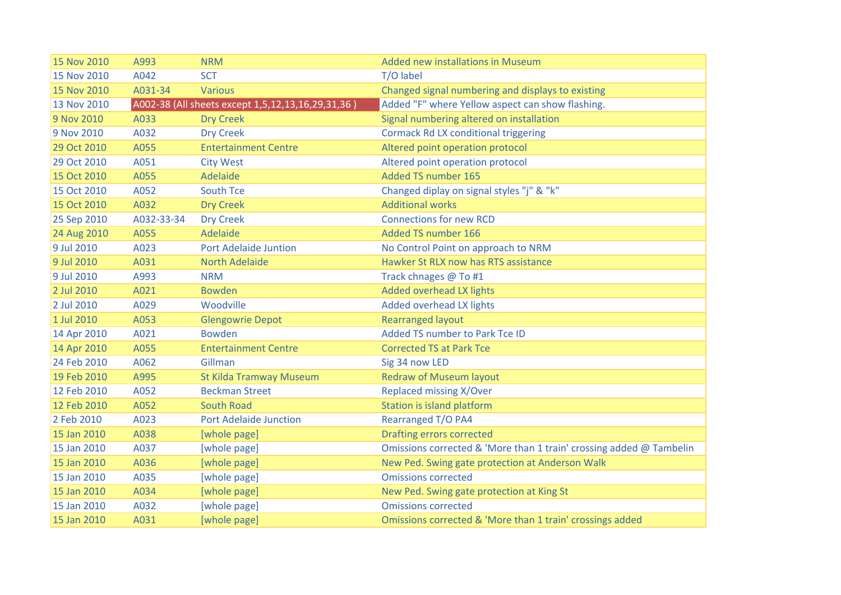| 15 Nov 2010 | A993       | <b>NRM</b>                                        | Added new installations in Museum                                   |
|-------------|------------|---------------------------------------------------|---------------------------------------------------------------------|
| 15 Nov 2010 | A042       | <b>SCT</b>                                        | T/O label                                                           |
| 15 Nov 2010 | A031-34    | <b>Various</b>                                    | Changed signal numbering and displays to existing                   |
| 13 Nov 2010 |            | A002-38 (All sheets except 1,5,12,13,16,29,31,36) | Added "F" where Yellow aspect can show flashing.                    |
| 9 Nov 2010  | A033       | <b>Dry Creek</b>                                  | Signal numbering altered on installation                            |
| 9 Nov 2010  | A032       | <b>Dry Creek</b>                                  | <b>Cormack Rd LX conditional triggering</b>                         |
| 29 Oct 2010 | A055       | <b>Entertainment Centre</b>                       | Altered point operation protocol                                    |
| 29 Oct 2010 | A051       | <b>City West</b>                                  | Altered point operation protocol                                    |
| 15 Oct 2010 | A055       | Adelaide                                          | <b>Added TS number 165</b>                                          |
| 15 Oct 2010 | A052       | South Tce                                         | Changed diplay on signal styles "j" & "k"                           |
| 15 Oct 2010 | A032       | <b>Dry Creek</b>                                  | <b>Additional works</b>                                             |
| 25 Sep 2010 | A032-33-34 | <b>Dry Creek</b>                                  | <b>Connections for new RCD</b>                                      |
| 24 Aug 2010 | A055       | Adelaide                                          | <b>Added TS number 166</b>                                          |
| 9 Jul 2010  | A023       | <b>Port Adelaide Juntion</b>                      | No Control Point on approach to NRM                                 |
| 9 Jul 2010  | A031       | <b>North Adelaide</b>                             | Hawker St RLX now has RTS assistance                                |
| 9 Jul 2010  | A993       | <b>NRM</b>                                        | Track chnages @ To #1                                               |
| 2 Jul 2010  | A021       | <b>Bowden</b>                                     | <b>Added overhead LX lights</b>                                     |
| 2 Jul 2010  | A029       | Woodville                                         | Added overhead LX lights                                            |
| 1 Jul 2010  | A053       | <b>Glengowrie Depot</b>                           | <b>Rearranged layout</b>                                            |
| 14 Apr 2010 | A021       | <b>Bowden</b>                                     | Added TS number to Park Tce ID                                      |
| 14 Apr 2010 | A055       | <b>Entertainment Centre</b>                       | <b>Corrected TS at Park Tce</b>                                     |
| 24 Feb 2010 | A062       | Gillman                                           | Sig 34 now LED                                                      |
| 19 Feb 2010 | A995       | <b>St Kilda Tramway Museum</b>                    | <b>Redraw of Museum layout</b>                                      |
| 12 Feb 2010 | A052       | <b>Beckman Street</b>                             | Replaced missing X/Over                                             |
| 12 Feb 2010 | A052       | <b>South Road</b>                                 | Station is island platform                                          |
| 2 Feb 2010  | A023       | <b>Port Adelaide Junction</b>                     | Rearranged T/O PA4                                                  |
| 15 Jan 2010 | A038       | [whole page]                                      | Drafting errors corrected                                           |
| 15 Jan 2010 | A037       | [whole page]                                      | Omissions corrected & 'More than 1 train' crossing added @ Tambelin |
| 15 Jan 2010 | A036       | [whole page]                                      | New Ped. Swing gate protection at Anderson Walk                     |
| 15 Jan 2010 | A035       | [whole page]                                      | <b>Omissions corrected</b>                                          |
| 15 Jan 2010 | A034       | [whole page]                                      | New Ped. Swing gate protection at King St                           |
| 15 Jan 2010 | A032       | [whole page]                                      | <b>Omissions corrected</b>                                          |
| 15 Jan 2010 | A031       | [whole page]                                      | Omissions corrected & 'More than 1 train' crossings added           |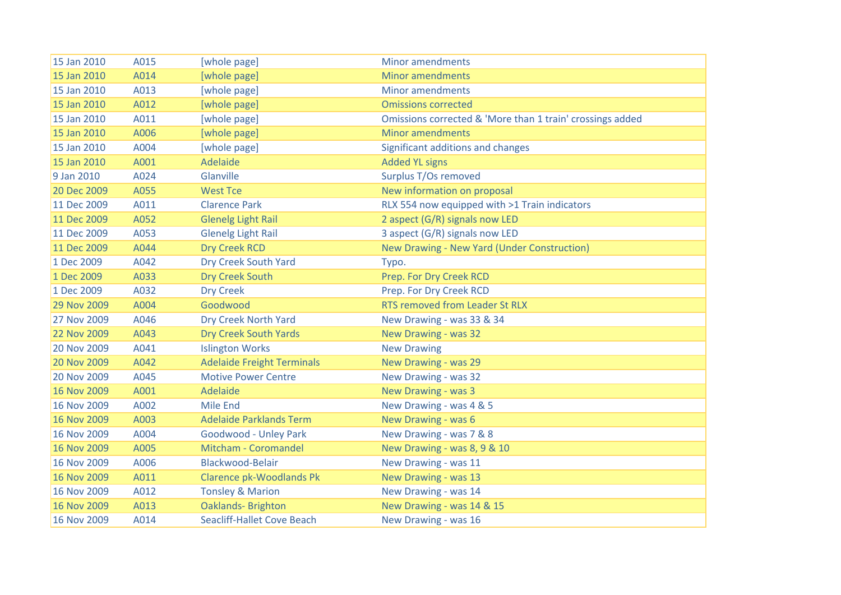| 15 Jan 2010 | A015 | [whole page]                      | <b>Minor amendments</b>                                   |
|-------------|------|-----------------------------------|-----------------------------------------------------------|
| 15 Jan 2010 | A014 | [whole page]                      | <b>Minor amendments</b>                                   |
| 15 Jan 2010 | A013 | [whole page]                      | <b>Minor amendments</b>                                   |
| 15 Jan 2010 | A012 | [whole page]                      | <b>Omissions corrected</b>                                |
| 15 Jan 2010 | A011 | [whole page]                      | Omissions corrected & 'More than 1 train' crossings added |
| 15 Jan 2010 | A006 | [whole page]                      | <b>Minor amendments</b>                                   |
| 15 Jan 2010 | A004 | [whole page]                      | Significant additions and changes                         |
| 15 Jan 2010 | A001 | Adelaide                          | <b>Added YL signs</b>                                     |
| 9 Jan 2010  | A024 | Glanville                         | Surplus T/Os removed                                      |
| 20 Dec 2009 | A055 | <b>West Tce</b>                   | New information on proposal                               |
| 11 Dec 2009 | A011 | <b>Clarence Park</b>              | RLX 554 now equipped with >1 Train indicators             |
| 11 Dec 2009 | A052 | <b>Glenelg Light Rail</b>         | 2 aspect (G/R) signals now LED                            |
| 11 Dec 2009 | A053 | <b>Glenelg Light Rail</b>         | 3 aspect (G/R) signals now LED                            |
| 11 Dec 2009 | A044 | <b>Dry Creek RCD</b>              | New Drawing - New Yard (Under Construction)               |
| 1 Dec 2009  | A042 | Dry Creek South Yard              | Typo.                                                     |
| 1 Dec 2009  | A033 | <b>Dry Creek South</b>            | Prep. For Dry Creek RCD                                   |
| 1 Dec 2009  | A032 | <b>Dry Creek</b>                  | Prep. For Dry Creek RCD                                   |
| 29 Nov 2009 | A004 | Goodwood                          | <b>RTS removed from Leader St RLX</b>                     |
| 27 Nov 2009 | A046 | Dry Creek North Yard              | New Drawing - was 33 & 34                                 |
| 22 Nov 2009 | A043 | <b>Dry Creek South Yards</b>      | New Drawing - was 32                                      |
| 20 Nov 2009 | A041 | <b>Islington Works</b>            | <b>New Drawing</b>                                        |
| 20 Nov 2009 | A042 | <b>Adelaide Freight Terminals</b> | New Drawing - was 29                                      |
| 20 Nov 2009 | A045 | <b>Motive Power Centre</b>        | New Drawing - was 32                                      |
| 16 Nov 2009 | A001 | Adelaide                          | New Drawing - was 3                                       |
| 16 Nov 2009 | A002 | <b>Mile End</b>                   | New Drawing - was 4 & 5                                   |
| 16 Nov 2009 | A003 | <b>Adelaide Parklands Term</b>    | New Drawing - was 6                                       |
| 16 Nov 2009 | A004 | Goodwood - Unley Park             | New Drawing - was 7 & 8                                   |
| 16 Nov 2009 | A005 | Mitcham - Coromandel              | New Drawing - was 8, 9 & 10                               |
| 16 Nov 2009 | A006 | Blackwood-Belair                  | New Drawing - was 11                                      |
| 16 Nov 2009 | A011 | <b>Clarence pk-Woodlands Pk</b>   | New Drawing - was 13                                      |
| 16 Nov 2009 | A012 | <b>Tonsley &amp; Marion</b>       | New Drawing - was 14                                      |
| 16 Nov 2009 | A013 | <b>Oaklands-Brighton</b>          | New Drawing - was 14 & 15                                 |
| 16 Nov 2009 | A014 | <b>Seacliff-Hallet Cove Beach</b> | New Drawing - was 16                                      |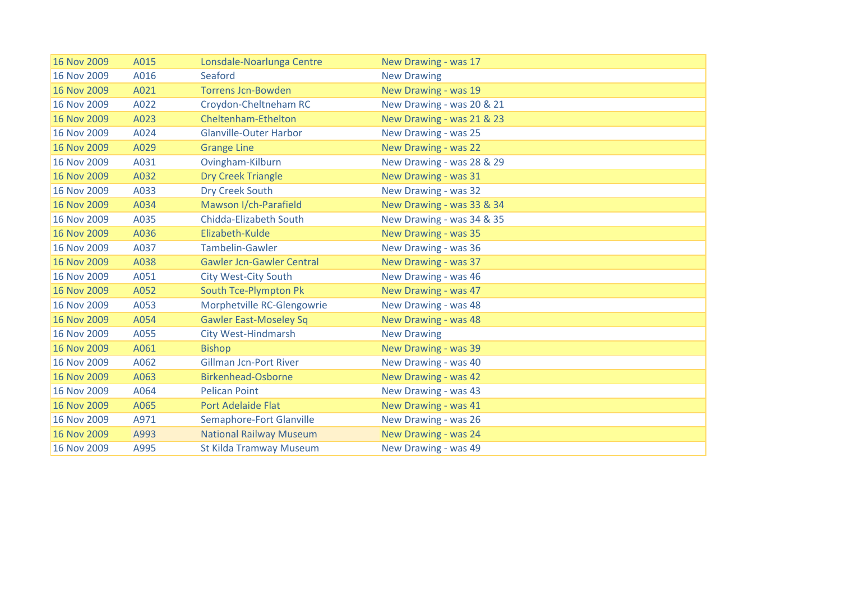| 16 Nov 2009 | A015 | Lonsdale-Noarlunga Centre        | New Drawing - was 17      |
|-------------|------|----------------------------------|---------------------------|
| 16 Nov 2009 | A016 | Seaford                          | <b>New Drawing</b>        |
| 16 Nov 2009 | A021 | <b>Torrens Jcn-Bowden</b>        | New Drawing - was 19      |
| 16 Nov 2009 | A022 | Croydon-Cheltneham RC            | New Drawing - was 20 & 21 |
| 16 Nov 2009 | A023 | Cheltenham-Ethelton              | New Drawing - was 21 & 23 |
| 16 Nov 2009 | A024 | <b>Glanville-Outer Harbor</b>    | New Drawing - was 25      |
| 16 Nov 2009 | A029 | <b>Grange Line</b>               | New Drawing - was 22      |
| 16 Nov 2009 | A031 | Ovingham-Kilburn                 | New Drawing - was 28 & 29 |
| 16 Nov 2009 | A032 | <b>Dry Creek Triangle</b>        | New Drawing - was 31      |
| 16 Nov 2009 | A033 | Dry Creek South                  | New Drawing - was 32      |
| 16 Nov 2009 | A034 | Mawson I/ch-Parafield            | New Drawing - was 33 & 34 |
| 16 Nov 2009 | A035 | <b>Chidda-Elizabeth South</b>    | New Drawing - was 34 & 35 |
| 16 Nov 2009 | A036 | Elizabeth-Kulde                  | New Drawing - was 35      |
| 16 Nov 2009 | A037 | Tambelin-Gawler                  | New Drawing - was 36      |
| 16 Nov 2009 | A038 | <b>Gawler Jcn-Gawler Central</b> | New Drawing - was 37      |
| 16 Nov 2009 | A051 | <b>City West-City South</b>      | New Drawing - was 46      |
| 16 Nov 2009 | A052 | South Tce-Plympton Pk            | New Drawing - was 47      |
| 16 Nov 2009 | A053 | Morphetville RC-Glengowrie       | New Drawing - was 48      |
| 16 Nov 2009 | A054 | <b>Gawler East-Moseley Sq</b>    | New Drawing - was 48      |
| 16 Nov 2009 | A055 | <b>City West-Hindmarsh</b>       | <b>New Drawing</b>        |
| 16 Nov 2009 | A061 | <b>Bishop</b>                    | New Drawing - was 39      |
| 16 Nov 2009 | A062 | <b>Gillman Jcn-Port River</b>    | New Drawing - was 40      |
| 16 Nov 2009 | A063 | <b>Birkenhead-Osborne</b>        | New Drawing - was 42      |
| 16 Nov 2009 | A064 | <b>Pelican Point</b>             | New Drawing - was 43      |
| 16 Nov 2009 | A065 | <b>Port Adelaide Flat</b>        | New Drawing - was 41      |
| 16 Nov 2009 | A971 | Semaphore-Fort Glanville         | New Drawing - was 26      |
| 16 Nov 2009 | A993 | <b>National Railway Museum</b>   | New Drawing - was 24      |
| 16 Nov 2009 | A995 | <b>St Kilda Tramway Museum</b>   | New Drawing - was 49      |